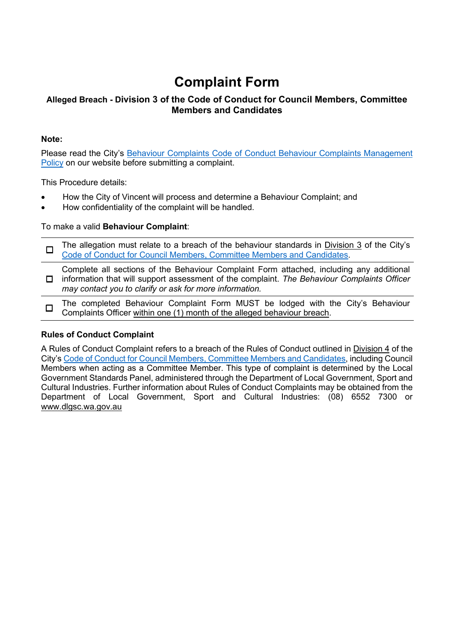# **Complaint Form**

### **Alleged Breach - Division 3 of the Code of Conduct for Council Members, Committee Members and Candidates**

#### **Note:**

Please read the City's Behaviour Complaints Code of Conduct Behaviour Complaints Management Policy on our website before submitting a complaint.

This Procedure details:

- How the City of Vincent will process and determine a Behaviour Complaint; and
- How confidentiality of the complaint will be handled.

#### To make a valid **Behaviour Complaint**:

 $\Box$  The allegation must relate to a breach of the behaviour standards in Division 3 of the City's [Code of Conduct for Council Members, Committee Members and Candidates.](https://www.vincent.wa.gov.au/Profiles/vincent/Assets/ClientData/Documents/Council/Governance/D21_21032__Code_of_Conduct_styled.pdf)

☐ information that will support assessment of the complaint. *The Behaviour Complaints Officer* Complete all sections of the Behaviour Complaint Form attached, including any additional *may contact you to clarify or ask for more information.*

☐ The completed Behaviour Complaint Form MUST be lodged with the City's Behaviour Complaints Officer within one (1) month of the alleged behaviour breach.

#### **Rules of Conduct Complaint**

A Rules of Conduct Complaint refers to a breach of the Rules of Conduct outlined in Division 4 of the City's [Code of Conduct for Council Members, Committee Members and Candidates,](https://www.vincent.wa.gov.au/Profiles/vincent/Assets/ClientData/Documents/Council/Governance/D21_21032__Code_of_Conduct_styled.pdf) including Council Members when acting as a Committee Member. This type of complaint is determined by the Local Government Standards Panel, administered through the Department of Local Government, Sport and Cultural Industries. Further information about Rules of Conduct Complaints may be obtained from the Department of Local Government, Sport and Cultural Industries: (08) 6552 7300 or [www.dlgsc.wa.gov.au](http://www.dlgsc.wa.gov.au/)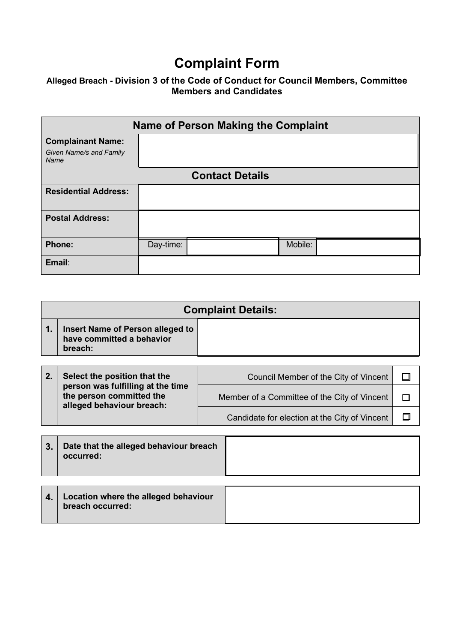# **Complaint Form**

### **Alleged Breach - Division 3 of the Code of Conduct for Council Members, Committee Members and Candidates**

|                                                             | <b>Name of Person Making the Complaint</b> |                        |         |  |
|-------------------------------------------------------------|--------------------------------------------|------------------------|---------|--|
| <b>Complainant Name:</b><br>Given Name/s and Family<br>Name |                                            |                        |         |  |
|                                                             |                                            | <b>Contact Details</b> |         |  |
| <b>Residential Address:</b>                                 |                                            |                        |         |  |
| <b>Postal Address:</b>                                      |                                            |                        |         |  |
| <b>Phone:</b>                                               | Day-time:                                  |                        | Mobile: |  |
| Email:                                                      |                                            |                        |         |  |

|               | <b>Complaint Details:</b>                                                |                                       |  |  |
|---------------|--------------------------------------------------------------------------|---------------------------------------|--|--|
| $\mathbf 1$ . | Insert Name of Person alleged to<br>have committed a behavior<br>breach: |                                       |  |  |
|               |                                                                          |                                       |  |  |
|               | Select the position that the                                             | Council Member of the City of Vincent |  |  |

| -- | <b>POINDLETTO POSITION THAT THE</b>                                                        | <b>OUGHOM IVICHING OF THE OILY OF VIHCEIN</b> |  |
|----|--------------------------------------------------------------------------------------------|-----------------------------------------------|--|
|    | person was fulfilling at the time<br>the person committed the<br>alleged behaviour breach: | Member of a Committee of the City of Vincent  |  |
|    |                                                                                            | Candidate for election at the City of Vincent |  |

| occurred: |
|-----------|
|-----------|

| $\vert$ 4. Location where the alleged behaviour<br>breach occurred: |  |
|---------------------------------------------------------------------|--|
|                                                                     |  |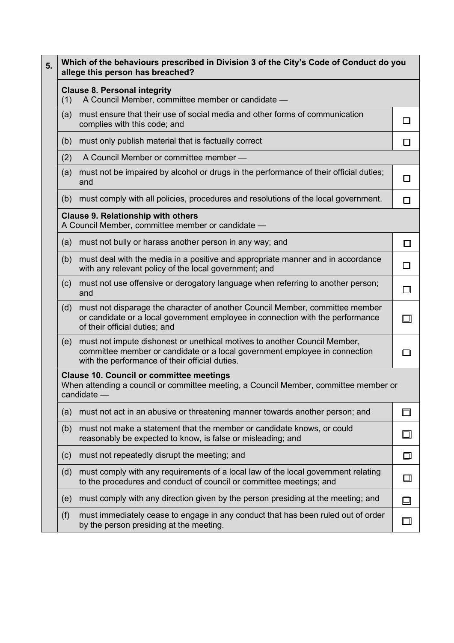| Which of the behaviours prescribed in Division 3 of the City's Code of Conduct do you<br>5.<br>allege this person has breached? |     |                                                                                                                                                                                                           |        |  |  |  |
|---------------------------------------------------------------------------------------------------------------------------------|-----|-----------------------------------------------------------------------------------------------------------------------------------------------------------------------------------------------------------|--------|--|--|--|
|                                                                                                                                 |     | <b>Clause 8. Personal integrity</b><br>A Council Member, committee member or candidate -<br>(1)                                                                                                           |        |  |  |  |
|                                                                                                                                 | (a) | must ensure that their use of social media and other forms of communication<br>complies with this code; and                                                                                               |        |  |  |  |
|                                                                                                                                 | (b) | must only publish material that is factually correct                                                                                                                                                      | П      |  |  |  |
|                                                                                                                                 | (2) | A Council Member or committee member -                                                                                                                                                                    |        |  |  |  |
|                                                                                                                                 | (a) | must not be impaired by alcohol or drugs in the performance of their official duties;<br>and                                                                                                              | П      |  |  |  |
|                                                                                                                                 | (b) | must comply with all policies, procedures and resolutions of the local government.                                                                                                                        | □      |  |  |  |
|                                                                                                                                 |     | <b>Clause 9. Relationship with others</b><br>A Council Member, committee member or candidate -                                                                                                            |        |  |  |  |
|                                                                                                                                 | (a) | must not bully or harass another person in any way; and                                                                                                                                                   | $\Box$ |  |  |  |
|                                                                                                                                 | (b) | must deal with the media in a positive and appropriate manner and in accordance<br>with any relevant policy of the local government; and                                                                  | П      |  |  |  |
|                                                                                                                                 | (c) | must not use offensive or derogatory language when referring to another person;<br>and                                                                                                                    |        |  |  |  |
|                                                                                                                                 | (d) | must not disparage the character of another Council Member, committee member<br>or candidate or a local government employee in connection with the performance<br>of their official duties; and           |        |  |  |  |
|                                                                                                                                 | (e) | must not impute dishonest or unethical motives to another Council Member,<br>committee member or candidate or a local government employee in connection<br>with the performance of their official duties. |        |  |  |  |
|                                                                                                                                 |     | <b>Clause 10. Council or committee meetings</b><br>When attending a council or committee meeting, a Council Member, committee member or<br>candidate -                                                    |        |  |  |  |
|                                                                                                                                 | (a) | must not act in an abusive or threatening manner towards another person; and                                                                                                                              |        |  |  |  |
|                                                                                                                                 | (b) | must not make a statement that the member or candidate knows, or could<br>reasonably be expected to know, is false or misleading; and                                                                     |        |  |  |  |
|                                                                                                                                 | (c) | must not repeatedly disrupt the meeting; and                                                                                                                                                              | $\Box$ |  |  |  |
|                                                                                                                                 | (d) | must comply with any requirements of a local law of the local government relating<br>to the procedures and conduct of council or committee meetings; and                                                  | $\Box$ |  |  |  |
|                                                                                                                                 | (e) | must comply with any direction given by the person presiding at the meeting; and                                                                                                                          | $\Box$ |  |  |  |
|                                                                                                                                 | (f) | must immediately cease to engage in any conduct that has been ruled out of order<br>by the person presiding at the meeting.                                                                               |        |  |  |  |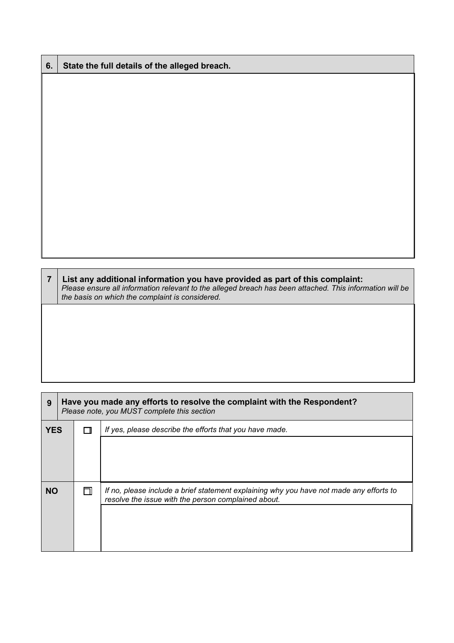| 6.             | State the full details of the alleged breach.                                                                                                                                                                                               |
|----------------|---------------------------------------------------------------------------------------------------------------------------------------------------------------------------------------------------------------------------------------------|
|                |                                                                                                                                                                                                                                             |
|                |                                                                                                                                                                                                                                             |
|                |                                                                                                                                                                                                                                             |
|                |                                                                                                                                                                                                                                             |
|                |                                                                                                                                                                                                                                             |
|                |                                                                                                                                                                                                                                             |
|                |                                                                                                                                                                                                                                             |
|                |                                                                                                                                                                                                                                             |
|                |                                                                                                                                                                                                                                             |
|                |                                                                                                                                                                                                                                             |
|                |                                                                                                                                                                                                                                             |
|                |                                                                                                                                                                                                                                             |
| $\overline{7}$ | List any additional information you have provided as part of this complaint:<br>Please ensure all information relevant to the alleged breach has been attached. This information will be<br>the basis on which the complaint is considered. |
|                |                                                                                                                                                                                                                                             |
|                |                                                                                                                                                                                                                                             |
|                |                                                                                                                                                                                                                                             |

| 9          | Have you made any efforts to resolve the complaint with the Respondent?<br>Please note, you MUST complete this section |                                                                                                                                                |
|------------|------------------------------------------------------------------------------------------------------------------------|------------------------------------------------------------------------------------------------------------------------------------------------|
| <b>YES</b> |                                                                                                                        | If yes, please describe the efforts that you have made.                                                                                        |
|            |                                                                                                                        |                                                                                                                                                |
| <b>NO</b>  |                                                                                                                        | If no, please include a brief statement explaining why you have not made any efforts to<br>resolve the issue with the person complained about. |